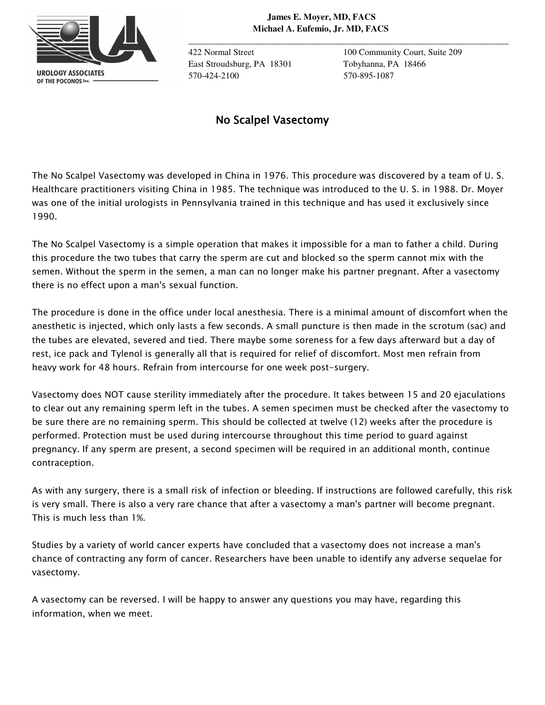

**\_\_\_\_\_\_\_\_\_\_\_\_\_\_\_\_\_\_\_\_\_\_\_\_\_\_\_\_\_\_\_\_\_\_\_\_\_\_\_\_\_\_\_\_\_\_\_\_\_\_\_\_\_\_\_\_\_\_\_\_\_\_\_\_\_\_\_\_\_\_\_\_**

East Stroudsburg, PA 18301 Tobyhanna, PA 18466 570-424-2100 570-895-1087

422 Normal Street 100 Community Court, Suite 209

## *No Scalpel Vasectomy No Scalpel Vasectomy calpel Vasectomy*

*The No Scalpel Vasectomy was developed in China in 1976. This procedure was discovered by a team of U. S. Healthcare practitioners visiting China in 1985. The technique was introduced to the U. S. in 1988. Dr. Moyer was one of the initial urologists in Pennsylvania trained in this technique and has used it exclusively since 1990.* 

*The No Scalpel Vasectomy is a simple operation that makes it impossible for a man to father a child. During this procedure the two tubes that carry the sperm are cut and blocked so the sperm cannot mix with the semen. Without the sperm in the semen, a man can no longer make his partner pregnant. After a vasectomy there is no effect upon a man's sexual function.* 

*The procedure is done in the office under local anesthesia. There is a minimal amount of discomfort when the anesthetic is injected, which only lasts a few seconds. A small puncture is then made in the scrotum (sac) and the tubes are elevated, severed and tied. There maybe some soreness for a few days afterward but a day of*  rest, ice pack and Tylenol is generally all that is required for relief of discomfort. Most men refrain from *heavy work for 48 hours. Refrain from intercourse for one week post-surgery.* 

*Vasectomy does NOT cause sterility immediately after the procedure. It takes between 15 and 20 ejaculations to clear out any remaining sperm left in the tubes. A semen specimen must be checked after the vasectomy to be sure there are no remaining sperm. This should be collected at twelve (12) weeks after the procedure is performed. Protection must be used during intercourse throughout this time period to guard against pregnancy. If any sperm are present, a second specimen will be required in an additional month, continue contraception.* 

*As with any surgery, there is a small risk of infection or bleeding. If instructions are followed carefully, this risk*  is very small. There is also a very rare chance that after a vasectomy a man's partner will become pregnant. *This is much less than 1%.* 

*Studies by a variety of world cancer experts have concluded that a vasectomy does not increase a man's chance of contracting any form of cancer. Researchers have been unable to identify any adverse sequelae for vasectomy.* 

*A vasectomy can be reversed. I will be happy to answer any questions you may have, regarding this information, when we meet.*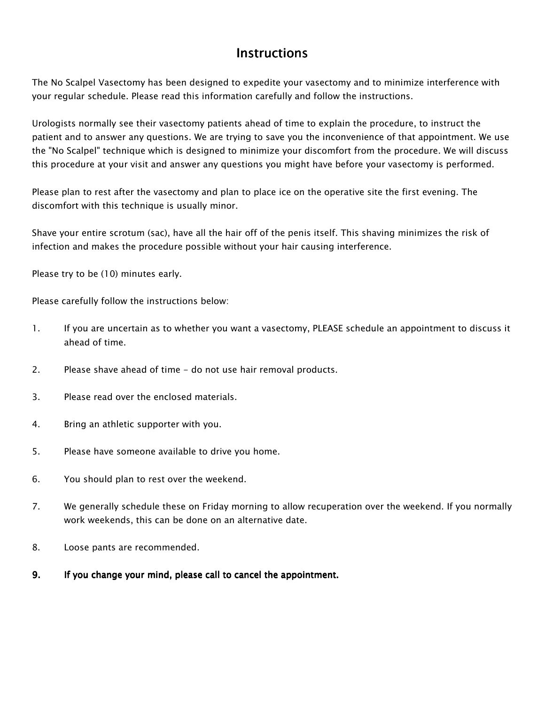## *Instructions Instructions*

*The No Scalpel Vasectomy has been designed to expedite your vasectomy and to minimize interference with your regular schedule. Please read this information carefully and follow the instructions.* 

*Urologists normally see their vasectomy patients ahead of time to explain the procedure, to instruct the patient and to answer any questions. We are trying to save you the inconvenience of that appointment. We use the "No Scalpel" technique which is designed to minimize your discomfort from the procedure. We will discuss this procedure at your visit and answer any questions you might have before your vasectomy is performed.* 

*Please plan to rest after the vasectomy and plan to place ice on the operative site the first evening. The discomfort with this technique is usually minor.* 

*Shave your entire scrotum (sac), have all the hair off of the penis itself. This shaving minimizes the risk of infection and makes the procedure possible without your hair causing interference.* 

*Please try to be (10) minutes early.* 

*Please carefully follow the instructions below:* 

- *1. If you are uncertain as to whether you want a vasectomy, PLEASE schedule an appointment to discuss it ahead of time.*
- *2. Please shave ahead of time do not use hair removal products.*
- *3. Please read over the enclosed materials.*
- *4. Bring an athletic supporter with you.*
- *5. Please have someone available to drive you home.*
- *6. You should plan to rest over the weekend.*
- *7. We generally schedule these on Friday morning to allow recuperation over the weekend. If you normally work weekends, this can be done on an alternative date.*
- *8. Loose pants are recommended.*
- *9. If you change your mind, please call to cancel the If you change your mind, please call to cancel theappointment. appointment. appointment.*